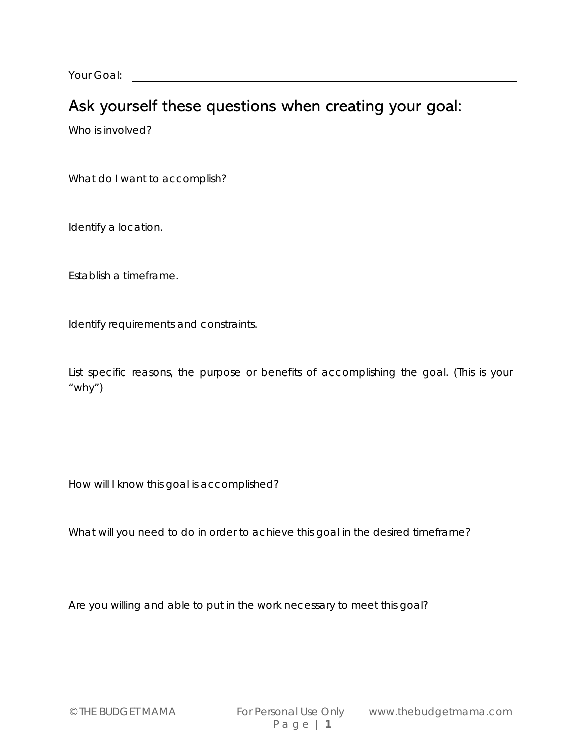Your Goal:

## Ask yourself these questions when creating your goal:

Who is involved?

What do I want to accomplish?

Identify a location.

Establish a timeframe.

Identify requirements and constraints.

List specific reasons, the purpose or benefits of accomplishing the goal. (This is your "why")

How will I know this goal is accomplished?

What will you need to do in order to achieve this goal in the desired timeframe?

Are you *willing* and *able* to put in the work necessary to meet this goal?